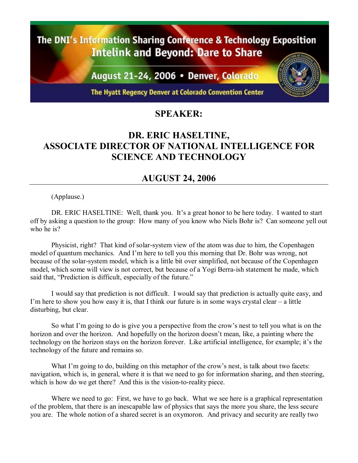The DNI's Information Sharing Conference & Technology Exposition **Intelink and Beyond: Dare to Share** 

August 21-24, 2006 · Denver, Colorado

The Hyatt Regency Denver at Colorado Convention Center

## **SPEAKER:**

## **DR. ERIC HASELTINE, ASSOCIATE DIRECTOR OF NATIONAL INTELLIGENCE FOR SCIENCE AND TECHNOLOGY**

## **AUGUST 24, 2006**

(Applause.)

DR. ERIC HASELTINE: Well, thank you. It's a great honor to be here today. I wanted to start off by asking a question to the group: How many of you know who Niels Bohr is? Can someone yell out who he is?

Physicist, right? That kind of solar-system view of the atom was due to him, the Copenhagen model of quantum mechanics. And I'm here to tell you this morning that Dr. Bohr was wrong, not because of the solar-system model, which is a little bit over simplified, not because of the Copenhagen model, which some will view is not correct, but because of a Yogi Berra-ish statement he made, which said that, "Prediction is difficult, especially of the future."

I would say that prediction is not difficult. I would say that prediction is actually quite easy, and I'm here to show you how easy it is, that I think our future is in some ways crystal clear  $-$  a little disturbing, but clear.

So what I'm going to do is give you a perspective from the crow's nest to tell you what is on the horizon and over the horizon. And hopefully on the horizon doesn't mean, like, a painting where the technology on the horizon stays on the horizon forever. Like artificial intelligence, for example; it's the technology of the future and remains so.

What I'm going to do, building on this metaphor of the crow's nest, is talk about two facets: navigation, which is, in general, where it is that we need to go for information sharing, and then steering, which is how do we get there? And this is the vision-to-reality piece.

Where we need to go: First, we have to go back. What we see here is a graphical representation of the problem, that there is an inescapable law of physics that says the more you share, the less secure you are. The whole notion of a shared secret is an oxymoron. And privacy and security are really two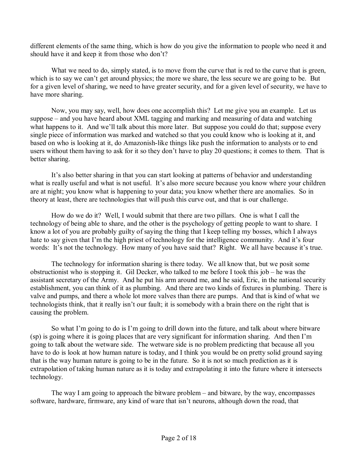different elements of the same thing, which is how do you give the information to people who need it and should have it and keep it from those who don't?

What we need to do, simply stated, is to move from the curve that is red to the curve that is green, which is to say we can't get around physics; the more we share, the less secure we are going to be. But for a given level of sharing, we need to have greater security, and for a given level of security, we have to have more sharing.

Now, you may say, well, how does one accomplish this? Let me give you an example. Let us suppose  $-$  and you have heard about XML tagging and marking and measuring of data and watching what happens to it. And we'll talk about this more later. But suppose you could do that; suppose every single piece of information was marked and watched so that you could know who is looking at it, and based on who is looking at it, do Amazonish-like things like push the information to analysts or to end users without them having to ask for it so they don't have to play 20 questions; it comes to them. That is better sharing.

It's also better sharing in that you can start looking at patterns of behavior and understanding what is really useful and what is not useful. It's also more secure because you know where your children are at night; you know what is happening to your data; you know whether there are anomalies. So in theory at least, there are technologies that will push this curve out, and that is our challenge.

How do we do it? Well, I would submit that there are two pillars. One is what I call the technology of being able to share, and the other is the psychology of getting people to want to share. I know a lot of you are probably guilty of saying the thing that I keep telling my bosses, which I always hate to say given that I'm the high priest of technology for the intelligence community. And it's four words: It's not the technology. How many of you have said that? Right. We all have because it's true.

The technology for information sharing is there today. We all know that, but we posit some obstructionist who is stopping it. Gil Decker, who talked to me before I took this job  $-$  he was the assistant secretary of the Army. And he put his arm around me, and he said, Eric, in the national security establishment, you can think of it as plumbing. And there are two kinds of fixtures in plumbing. There is valve and pumps, and there a whole lot more valves than there are pumps. And that is kind of what we technologists think, that it really isn't our fault; it is somebody with a brain there on the right that is causing the problem.

So what I'm going to do is I'm going to drill down into the future, and talk about where bitware  $(sp)$  is going where it is going places that are very significant for information sharing. And then I'm going to talk about the wetware side. The wetware side is no problem predicting that because all you have to do is look at how human nature is today, and I think you would be on pretty solid ground saying that is the way human nature is going to be in the future. So it is not so much prediction as it is extrapolation of taking human nature as it is today and extrapolating it into the future where it intersects technology.

The way I am going to approach the bitware problem  $-$  and bitware, by the way, encompasses software, hardware, firmware, any kind of ware that isn't neurons, although down the road, that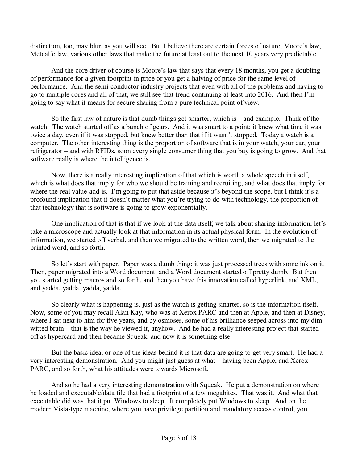distinction, too, may blur, as you will see. But I believe there are certain forces of nature, Moore's law, Metcalfe law, various other laws that make the future at least out to the next 10 years very predictable.

And the core driver of course is Moore's law that says that every 18 months, you get a doubling of performance for a given footprint in price or you get a halving of price for the same level of performance. And the semi-conductor industry projects that even with all of the problems and having to go to multiple cores and all of that, we still see that trend continuing at least into 2016. And then Iím going to say what it means for secure sharing from a pure technical point of view.

So the first law of nature is that dumb things get smarter, which is  $-$  and example. Think of the watch. The watch started off as a bunch of gears. And it was smart to a point; it knew what time it was twice a day, even if it was stopped, but knew better than that if it wasn't stopped. Today a watch is a computer. The other interesting thing is the proportion of software that is in your watch, your car, your refrigerator – and with RFIDs, soon every single consumer thing that you buy is going to grow. And that software really is where the intelligence is.

Now, there is a really interesting implication of that which is worth a whole speech in itself, which is what does that imply for who we should be training and recruiting, and what does that imply for where the real value-add is. I'm going to put that aside because it's beyond the scope, but I think it's a profound implication that it doesn't matter what you're trying to do with technology, the proportion of that technology that is software is going to grow exponentially.

One implication of that is that if we look at the data itself, we talk about sharing information, let's take a microscope and actually look at that information in its actual physical form. In the evolution of information, we started off verbal, and then we migrated to the written word, then we migrated to the printed word, and so forth.

So let's start with paper. Paper was a dumb thing; it was just processed trees with some ink on it. Then, paper migrated into a Word document, and a Word document started off pretty dumb. But then you started getting macros and so forth, and then you have this innovation called hyperlink, and XML, and yadda, yadda, yadda, yadda.

So clearly what is happening is, just as the watch is getting smarter, so is the information itself. Now, some of you may recall Alan Kay, who was at Xerox PARC and then at Apple, and then at Disney, where I sat next to him for five years, and by osmoses, some of his brilliance seeped across into my dimwitted brain – that is the way he viewed it, anyhow. And he had a really interesting project that started off as hypercard and then became Squeak, and now it is something else.

But the basic idea, or one of the ideas behind it is that data are going to get very smart. He had a very interesting demonstration. And you might just guess at what – having been Apple, and Xerox PARC, and so forth, what his attitudes were towards Microsoft.

And so he had a very interesting demonstration with Squeak. He put a demonstration on where he loaded and executable/data file that had a footprint of a few megabites. That was it. And what that executable did was that it put Windows to sleep. It completely put Windows to sleep. And on the modern Vista-type machine, where you have privilege partition and mandatory access control, you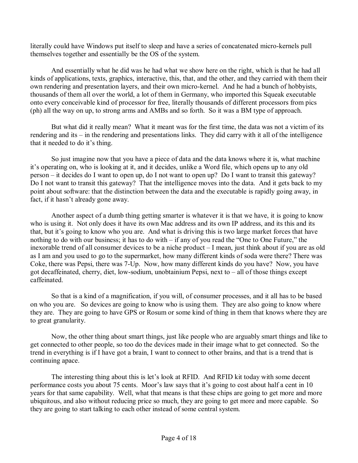literally could have Windows put itself to sleep and have a series of concatenated micro-kernels pull themselves together and essentially be the OS of the system.

And essentially what he did was he had what we show here on the right, which is that he had all kinds of applications, texts, graphics, interactive, this, that, and the other, and they carried with them their own rendering and presentation layers, and their own micro-kernel. And he had a bunch of hobbyists, thousands of them all over the world, a lot of them in Germany, who imported this Squeak executable onto every conceivable kind of processor for free, literally thousands of different processors from pics (ph) all the way on up, to strong arms and AMBs and so forth. So it was a BM type of approach.

But what did it really mean? What it meant was for the first time, the data was not a victim of its rendering and its  $-$  in the rendering and presentations links. They did carry with it all of the intelligence that it needed to do it's thing.

So just imagine now that you have a piece of data and the data knows where it is, what machine it's operating on, who is looking at it, and it decides, unlike a Word file, which opens up to any old person – it decides do I want to open up, do I not want to open up? Do I want to transit this gateway? Do I not want to transit this gateway? That the intelligence moves into the data. And it gets back to my point about software: that the distinction between the data and the executable is rapidly going away, in fact, if it hasn't already gone away.

Another aspect of a dumb thing getting smarter is whatever it is that we have, it is going to know who is using it. Not only does it have its own Mac address and its own IP address, and its this and its that, but it's going to know who you are. And what is driving this is two large market forces that have nothing to do with our business; it has to do with  $-$  if any of you read the "One to One Future," the inexorable trend of all consumer devices to be a niche product  $-I$  mean, just think about if you are as old as I am and you used to go to the supermarket, how many different kinds of soda were there? There was Coke, there was Pepsi, there was 7-Up. Now, how many different kinds do you have? Now, you have got decaffeinated, cherry, diet, low-sodium, unobtainium Pepsi, next to  $-$  all of those things except caffeinated.

So that is a kind of a magnification, if you will, of consumer processes, and it all has to be based on who you are. So devices are going to know who is using them. They are also going to know where they are. They are going to have GPS or Rosum or some kind of thing in them that knows where they are to great granularity.

Now, the other thing about smart things, just like people who are arguably smart things and like to get connected to other people, so too do the devices made in their image what to get connected. So the trend in everything is if I have got a brain, I want to connect to other brains, and that is a trend that is continuing apace.

The interesting thing about this is let's look at RFID. And RFID kit today with some decent performance costs you about 75 cents. Moor's law says that it's going to cost about half a cent in 10 years for that same capability. Well, what that means is that these chips are going to get more and more ubiquitous, and also without reducing price so much, they are going to get more and more capable. So they are going to start talking to each other instead of some central system.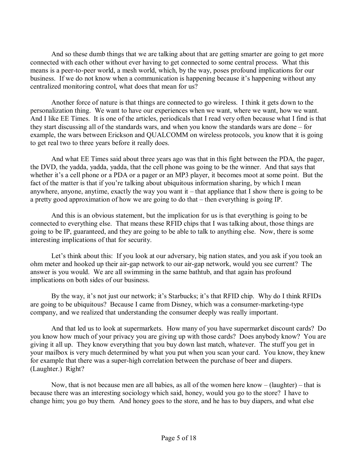And so these dumb things that we are talking about that are getting smarter are going to get more connected with each other without ever having to get connected to some central process. What this means is a peer-to-peer world, a mesh world, which, by the way, poses profound implications for our business. If we do not know when a communication is happening because it's happening without any centralized monitoring control, what does that mean for us?

Another force of nature is that things are connected to go wireless. I think it gets down to the personalization thing. We want to have our experiences when we want, where we want, how we want. And I like EE Times. It is one of the articles, periodicals that I read very often because what I find is that they start discussing all of the standards wars, and when you know the standards wars are done  $-$  for example, the wars between Erickson and QUALCOMM on wireless protocols, you know that it is going to get real two to three years before it really does.

And what EE Times said about three years ago was that in this fight between the PDA, the pager, the DVD, the yadda, yadda, yadda, that the cell phone was going to be the winner. And that says that whether it's a cell phone or a PDA or a pager or an MP3 player, it becomes moot at some point. But the fact of the matter is that if you're talking about ubiquitous information sharing, by which I mean anywhere, anyone, anytime, exactly the way you want it  $-$  that appliance that I show there is going to be a pretty good approximation of how we are going to do that  $-$  then everything is going IP.

And this is an obvious statement, but the implication for us is that everything is going to be connected to everything else. That means these RFID chips that I was talking about, those things are going to be IP, guaranteed, and they are going to be able to talk to anything else. Now, there is some interesting implications of that for security.

Let's think about this: If you look at our adversary, big nation states, and you ask if you took an ohm meter and hooked up their air-gap network to our air-gap network, would you see current? The answer is you would. We are all swimming in the same bathtub, and that again has profound implications on both sides of our business.

By the way, it's not just our network; it's Starbucks; it's that RFID chip. Why do I think RFIDs are going to be ubiquitous? Because I came from Disney, which was a consumer-marketing-type company, and we realized that understanding the consumer deeply was really important.

And that led us to look at supermarkets. How many of you have supermarket discount cards? Do you know how much of your privacy you are giving up with those cards? Does anybody know? You are giving it all up. They know everything that you buy down last match, whatever. The stuff you get in your mailbox is very much determined by what you put when you scan your card. You know, they knew for example that there was a super-high correlation between the purchase of beer and diapers. (Laughter.) Right?

Now, that is not because men are all babies, as all of the women here know  $-$  (laughter)  $-$  that is because there was an interesting sociology which said, honey, would you go to the store? I have to change him; you go buy them. And honey goes to the store, and he has to buy diapers, and what else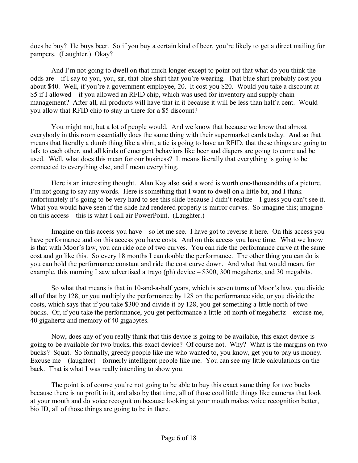does he buy? He buys beer. So if you buy a certain kind of beer, you're likely to get a direct mailing for pampers. (Laughter.) Okay?

And I'm not going to dwell on that much longer except to point out that what do you think the odds are  $\overline{\phantom{a}}$  if I say to you, you, sir, that blue shirt that you're wearing. That blue shirt probably cost you about \$40. Well, if you're a government employee, 20. It cost you \$20. Would you take a discount at \$5 if I allowed – if you allowed an RFID chip, which was used for inventory and supply chain management? After all, all products will have that in it because it will be less than half a cent. Would you allow that RFID chip to stay in there for a \$5 discount?

You might not, but a lot of people would. And we know that because we know that almost everybody in this room essentially does the same thing with their supermarket cards today. And so that means that literally a dumb thing like a shirt, a tie is going to have an RFID, that these things are going to talk to each other, and all kinds of emergent behaviors like beer and diapers are going to come and be used. Well, what does this mean for our business? It means literally that everything is going to be connected to everything else, and I mean everything.

Here is an interesting thought. Alan Kay also said a word is worth one-thousandths of a picture. I'm not going to say any words. Here is something that I want to dwell on a little bit, and I think unfortunately it's going to be very hard to see this slide because I didn't realize  $-I$  guess you can't see it. What you would have seen if the slide had rendered properly is mirror curves. So imagine this; imagine on this  $access - this$  is what I call air PowerPoint. (Laughter.)

Imagine on this access you have  $-$  so let me see. I have got to reverse it here. On this access you have performance and on this access you have costs. And on this access you have time. What we know is that with Moor's law, you can ride one of two curves. You can ride the performance curve at the same cost and go like this. So every 18 months I can double the performance. The other thing you can do is you can hold the performance constant and ride the cost curve down. And what that would mean, for example, this morning I saw advertised a trayo (ph) device  $-$  \$300, 300 megahertz, and 30 megabits.

So what that means is that in 10-and-a-half years, which is seven turns of Moor's law, you divide all of that by 128, or you multiply the performance by 128 on the performance side, or you divide the costs, which says that if you take \$300 and divide it by 128, you get something a little north of two bucks. Or, if you take the performance, you get performance a little bit north of megahertz – excuse me, 40 gigahertz and memory of 40 gigabytes.

Now, does any of you really think that this device is going to be available, this exact device is going to be available for two bucks, this exact device? Of course not. Why? What is the margins on two bucks? Squat. So formally, greedy people like me who wanted to, you know, get you to pay us money. Excuse me  $-$  (laughter)  $-$  formerly intelligent people like me. You can see my little calculations on the back. That is what I was really intending to show you.

The point is of course you're not going to be able to buy this exact same thing for two bucks because there is no profit in it, and also by that time, all of those cool little things like cameras that look at your mouth and do voice recognition because looking at your mouth makes voice recognition better, bio ID, all of those things are going to be in there.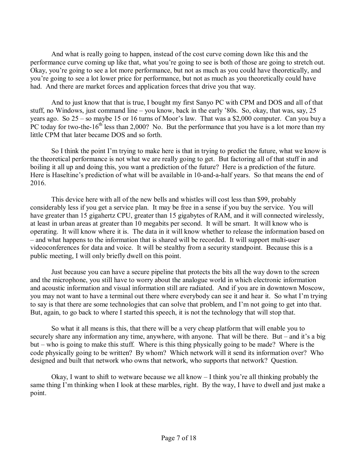And what is really going to happen, instead of the cost curve coming down like this and the performance curve coming up like that, what you're going to see is both of those are going to stretch out. Okay, youíre going to see a lot more performance, but not as much as you could have theoretically, and youíre going to see a lot lower price for performance, but not as much as you theoretically could have had. And there are market forces and application forces that drive you that way.

And to just know that that is true, I bought my first Sanyo PC with CPM and DOS and all of that stuff, no Windows, just command line – you know, back in the early '80s. So, okay, that was, say, 25 years ago. So  $25 -$ so maybe 15 or 16 turns of Moor's law. That was a \$2,000 computer. Can you buy a PC today for two-the-16<sup>th</sup> less than 2,000? No. But the performance that you have is a lot more than my little CPM that later became DOS and so forth.

So I think the point I'm trying to make here is that in trying to predict the future, what we know is the theoretical performance is not what we are really going to get. But factoring all of that stuff in and boiling it all up and doing this, you want a prediction of the future? Here is a prediction of the future. Here is Haseltine's prediction of what will be available in 10-and-a-half years. So that means the end of 2016.

This device here with all of the new bells and whistles will cost less than \$99, probably considerably less if you get a service plan. It may be free in a sense if you buy the service. You will have greater than 15 gigahertz CPU, greater than 15 gigabytes of RAM, and it will connected wirelessly, at least in urban areas at greater than 10 megabits per second. It will be smart. It will know who is operating. It will know where it is. The data in it will know whether to release the information based on – and what happens to the information that is shared will be recorded. It will support multi-user videoconferences for data and voice. It will be stealthy from a security standpoint. Because this is a public meeting, I will only briefly dwell on this point.

Just because you can have a secure pipeline that protects the bits all the way down to the screen and the microphone, you still have to worry about the analogue world in which electronic information and acoustic information and visual information still are radiated. And if you are in downtown Moscow, you may not want to have a terminal out there where everybody can see it and hear it. So what I'm trying to say is that there are some technologies that can solve that problem, and I'm not going to get into that. But, again, to go back to where I started this speech, it is not the technology that will stop that.

So what it all means is this, that there will be a very cheap platform that will enable you to securely share any information any time, anywhere, with anyone. That will be there. But  $-$  and it's a big but – who is going to make this stuff. Where is this thing physically going to be made? Where is the code physically going to be written? By whom? Which network will it send its information over? Who designed and built that network who owns that network, who supports that network? Question.

Okay, I want to shift to wetware because we all know  $-I$  think you're all thinking probably the same thing I'm thinking when I look at these marbles, right. By the way, I have to dwell and just make a point.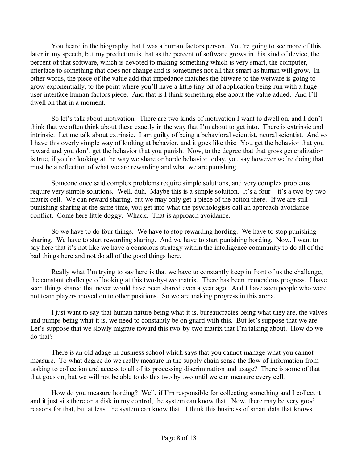You heard in the biography that I was a human factors person. You're going to see more of this later in my speech, but my prediction is that as the percent of software grows in this kind of device, the percent of that software, which is devoted to making something which is very smart, the computer, interface to something that does not change and is sometimes not all that smart as human will grow. In other words, the piece of the value add that impedance matches the bitware to the wetware is going to grow exponentially, to the point where you'll have a little tiny bit of application being run with a huge user interface human factors piece. And that is I think something else about the value added. And I'll dwell on that in a moment.

So let's talk about motivation. There are two kinds of motivation I want to dwell on, and I don't think that we often think about these exactly in the way that I'm about to get into. There is extrinsic and intrinsic. Let me talk about extrinsic. I am guilty of being a behavioral scientist, neural scientist. And so I have this overly simple way of looking at behavior, and it goes like this: You get the behavior that you reward and you don't get the behavior that you punish. Now, to the degree that that gross generalization is true, if you're looking at the way we share or horde behavior today, you say however we're doing that must be a reflection of what we are rewarding and what we are punishing.

Someone once said complex problems require simple solutions, and very complex problems require very simple solutions. Well, duh. Maybe this is a simple solution. It's a four  $-$  it's a two-by-two matrix cell. We can reward sharing, but we may only get a piece of the action there. If we are still punishing sharing at the same time, you get into what the psychologists call an approach-avoidance conflict. Come here little doggy. Whack. That is approach avoidance.

So we have to do four things. We have to stop rewarding hording. We have to stop punishing sharing. We have to start rewarding sharing. And we have to start punishing hording. Now, I want to say here that it's not like we have a conscious strategy within the intelligence community to do all of the bad things here and not do all of the good things here.

Really what I'm trying to say here is that we have to constantly keep in front of us the challenge, the constant challenge of looking at this two-by-two matrix. There has been tremendous progress. I have seen things shared that never would have been shared even a year ago. And I have seen people who were not team players moved on to other positions. So we are making progress in this arena.

I just want to say that human nature being what it is, bureaucracies being what they are, the valves and pumps being what it is, we need to constantly be on guard with this. But let's suppose that we are. Let's suppose that we slowly migrate toward this two-by-two matrix that I'm talking about. How do we do that?

There is an old adage in business school which says that you cannot manage what you cannot measure. To what degree do we really measure in the supply chain sense the flow of information from tasking to collection and access to all of its processing discrimination and usage? There is some of that that goes on, but we will not be able to do this two by two until we can measure every cell.

How do you measure hording? Well, if I'm responsible for collecting something and I collect it and it just sits there on a disk in my control, the system can know that. Now, there may be very good reasons for that, but at least the system can know that. I think this business of smart data that knows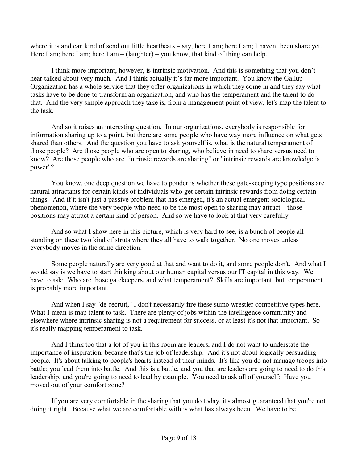where it is and can kind of send out little heartbeats – say, here I am; here I am; I haven' been share yet. Here I am; here I am; here I am  $-$  (laughter)  $-$  you know, that kind of thing can help.

I think more important, however, is intrinsic motivation. And this is something that you don't hear talked about very much. And I think actually it's far more important. You know the Gallup Organization has a whole service that they offer organizations in which they come in and they say what tasks have to be done to transform an organization, and who has the temperament and the talent to do that. And the very simple approach they take is, from a management point of view, let's map the talent to the task.

 And so it raises an interesting question. In our organizations, everybody is responsible for information sharing up to a point, but there are some people who have way more influence on what gets shared than others. And the question you have to ask yourself is, what is the natural temperament of those people? Are those people who are open to sharing, who believe in need to share versus need to know? Are those people who are "intrinsic rewards are sharing" or "intrinsic rewards are knowledge is power"?

 You know, one deep question we have to ponder is whether these gate-keeping type positions are natural attractants for certain kinds of individuals who get certain intrinsic rewards from doing certain things. And if it isn't just a passive problem that has emerged, it's an actual emergent sociological phenomenon, where the very people who need to be the most open to sharing may attract  $-$  those positions may attract a certain kind of person. And so we have to look at that very carefully.

 And so what I show here in this picture, which is very hard to see, is a bunch of people all standing on these two kind of struts where they all have to walk together. No one moves unless everybody moves in the same direction.

 Some people naturally are very good at that and want to do it, and some people don't. And what I would say is we have to start thinking about our human capital versus our IT capital in this way. We have to ask: Who are those gatekeepers, and what temperament? Skills are important, but temperament is probably more important.

 And when I say "de-recruit," I don't necessarily fire these sumo wrestler competitive types here. What I mean is map talent to task. There are plenty of jobs within the intelligence community and elsewhere where intrinsic sharing is not a requirement for success, or at least it's not that important. So it's really mapping temperament to task.

 And I think too that a lot of you in this room are leaders, and I do not want to understate the importance of inspiration, because that's the job of leadership. And it's not about logically persuading people. It's about talking to people's hearts instead of their minds. It's like you do not manage troops into battle; you lead them into battle. And this is a battle, and you that are leaders are going to need to do this leadership, and you're going to need to lead by example. You need to ask all of yourself: Have you moved out of your comfort zone?

 If you are very comfortable in the sharing that you do today, it's almost guaranteed that you're not doing it right. Because what we are comfortable with is what has always been. We have to be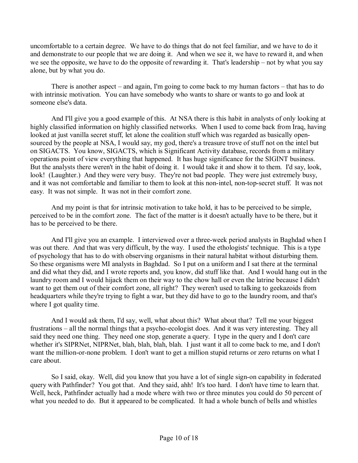uncomfortable to a certain degree. We have to do things that do not feel familiar, and we have to do it and demonstrate to our people that we are doing it. And when we see it, we have to reward it, and when we see the opposite, we have to do the opposite of rewarding it. That's leadership  $-$  not by what you say alone, but by what you do.

There is another aspect  $-$  and again, I'm going to come back to my human factors  $-$  that has to do with intrinsic motivation. You can have somebody who wants to share or wants to go and look at someone else's data.

 And I'll give you a good example of this. At NSA there is this habit in analysts of only looking at highly classified information on highly classified networks. When I used to come back from Iraq, having looked at just vanilla secret stuff, let alone the coalition stuff which was regarded as basically opensourced by the people at NSA, I would say, my god, there's a treasure trove of stuff not on the intel but on SIGACTS. You know, SIGACTS, which is Significant Activity database, records from a military operations point of view everything that happened. It has huge significance for the SIGINT business. But the analysts there weren't in the habit of doing it. I would take it and show it to them. I'd say, look, look! (Laughter.) And they were very busy. They're not bad people. They were just extremely busy, and it was not comfortable and familiar to them to look at this non-intel, non-top-secret stuff. It was not easy. It was not simple. It was not in their comfort zone.

 And my point is that for intrinsic motivation to take hold, it has to be perceived to be simple, perceived to be in the comfort zone. The fact of the matter is it doesn't actually have to be there, but it has to be perceived to be there.

 And I'll give you an example. I interviewed over a three-week period analysts in Baghdad when I was out there. And that was very difficult, by the way. I used the ethologists' technique. This is a type of psychology that has to do with observing organisms in their natural habitat without disturbing them. So these organisms were MI analysts in Baghdad. So I put on a uniform and I sat there at the terminal and did what they did, and I wrote reports and, you know, did stuff like that. And I would hang out in the laundry room and I would hijack them on their way to the chow hall or even the latrine because I didn't want to get them out of their comfort zone, all right? They weren't used to talking to geekazoids from headquarters while they're trying to fight a war, but they did have to go to the laundry room, and that's where I got quality time.

 And I would ask them, I'd say, well, what about this? What about that? Tell me your biggest frustrations – all the normal things that a psycho-ecologist does. And it was very interesting. They all said they need one thing. They need one stop, generate a query. I type in the query and I don't care whether it's SIPRNet, NIPRNet, blah, blah, blah, blah. I just want it all to come back to me, and I don't want the million-or-none problem. I don't want to get a million stupid returns or zero returns on what I care about.

 So I said, okay. Well, did you know that you have a lot of single sign-on capability in federated query with Pathfinder? You got that. And they said, ahh! It's too hard. I don't have time to learn that. Well, heck, Pathfinder actually had a mode where with two or three minutes you could do 50 percent of what you needed to do. But it appeared to be complicated. It had a whole bunch of bells and whistles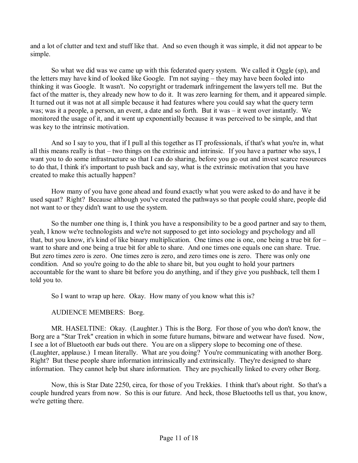and a lot of clutter and text and stuff like that. And so even though it was simple, it did not appear to be simple.

 So what we did was we came up with this federated query system. We called it Oggle (sp), and the letters may have kind of looked like Google. I'm not saying  $-$  they may have been fooled into thinking it was Google. It wasn't. No copyright or trademark infringement the lawyers tell me. But the fact of the matter is, they already new how to do it. It was zero learning for them, and it appeared simple. It turned out it was not at all simple because it had features where you could say what the query term was; was it a people, a person, an event, a date and so forth. But it was  $-$  it went over instantly. We monitored the usage of it, and it went up exponentially because it was perceived to be simple, and that was key to the intrinsic motivation.

And so I say to you, that if I pull al this together as IT professionals, if that's what you're in, what all this means really is that  $-$  two things on the extrinsic and intrinsic. If you have a partner who says, I want you to do some infrastructure so that I can do sharing, before you go out and invest scarce resources to do that, I think it's important to push back and say, what is the extrinsic motivation that you have created to make this actually happen?

 How many of you have gone ahead and found exactly what you were asked to do and have it be used squat? Right? Because although you've created the pathways so that people could share, people did not want to or they didn't want to use the system.

 So the number one thing is, I think you have a responsibility to be a good partner and say to them, yeah, I know we're technologists and we're not supposed to get into sociology and psychology and all that, but you know, it's kind of like binary multiplication. One times one is one, one being a true bit for  $$ want to share and one being a true bit for able to share. And one times one equals one can share. True. But zero times zero is zero. One times zero is zero, and zero times one is zero. There was only one condition. And so you're going to do the able to share bit, but you ought to hold your partners accountable for the want to share bit before you do anything, and if they give you pushback, tell them I told you to.

So I want to wrap up here. Okay. How many of you know what this is?

AUDIENCE MEMBERS: Borg.

 MR. HASELTINE: Okay. (Laughter.) This is the Borg. For those of you who don't know, the Borg are a "Star Trek" creation in which in some future humans, bitware and wetwear have fused. Now, I see a lot of Bluetooth ear buds out there. You are on a slippery slope to becoming one of these. (Laughter, applause.) I mean literally. What are you doing? You're communicating with another Borg. Right? But these people share information intrinsically and extrinsically. They're designed to share information. They cannot help but share information. They are psychically linked to every other Borg.

 Now, this is Star Date 2250, circa, for those of you Trekkies. I think that's about right. So that's a couple hundred years from now. So this is our future. And heck, those Bluetooths tell us that, you know, we're getting there.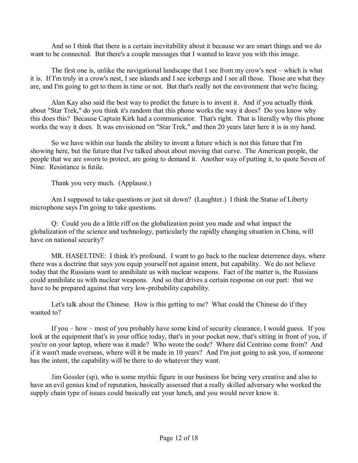And so I think that there is a certain inevitability about it because we are smart things and we do want to be connected. But there's a couple messages that I wanted to leave you with this image.

The first one is, unlike the navigational landscape that I see from my crow's nest  $-$  which is what it is. If I'm truly in a crow's nest, I see islands and I see icebergs and I see all those. Those are what they are, and I'm going to get to them in time or not. But that's really not the environment that we're facing.

 Alan Kay also said the best way to predict the future is to invent it. And if you actually think about "Star Trek," do you think it's random that this phone works the way it does? Do you know why this does this? Because Captain Kirk had a communicator. That's right. That is literally why this phone works the way it does. It was envisioned on "Star Trek," and then 20 years later here it is in my hand.

 So we have within our hands the ability to invent a future which is not this future that I'm showing here, but the future that I've talked about about moving that curve. The American people, the people that we are sworn to protect, are going to demand it. Another way of putting it, to quote Seven of Nine: Resistance is futile.

Thank you very much. (Applause.)

 Am I supposed to take questions or just sit down? (Laughter.) I think the Statue of Liberty microphone says I'm going to take questions.

 Q: Could you do a little riff on the globalization point you made and what impact the globalization of the science and technology, particularly the rapidly changing situation in China, will have on national security?

 MR. HASELTINE: I think it's profound. I want to go back to the nuclear deterrence days, where there was a doctrine that says you equip yourself not against intent, but capability. We do not believe today that the Russians want to annihilate us with nuclear weapons. Fact of the matter is, the Russians could annihilate us with nuclear weapons. And so that drives a certain response on our part: that we have to be prepared against that very low-probability capability.

 Let's talk about the Chinese. How is this getting to me? What could the Chinese do if they wanted to?

If you  $-$  how  $-$  most of you probably have some kind of security clearance, I would guess. If you look at the equipment that's in your office today, that's in your pocket now, that's sitting in front of you, if you're on your laptop, where was it made? Who wrote the code? Where did Centrino come from? And if it wasn't made overseas, where will it be made in 10 years? And I'm just going to ask you, if someone has the intent, the capability will be there to do whatever they want.

 Jim Gossler (sp), who is some mythic figure in our business for being very creative and also to have an evil genius kind of reputation, basically assessed that a really skilled adversary who worked the supply chain type of issues could basically eat your lunch, and you would never know it.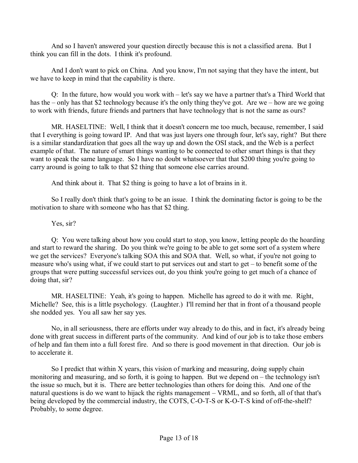And so I haven't answered your question directly because this is not a classified arena. But I think you can fill in the dots. I think it's profound.

 And I don't want to pick on China. And you know, I'm not saying that they have the intent, but we have to keep in mind that the capability is there.

Q: In the future, how would you work with  $-\left\vert \frac{\partial u}{\partial x} \right\vert$  let's say we have a partner that's a Third World that has the  $-$  only has that \$2 technology because it's the only thing they've got. Are we  $-$  how are we going to work with friends, future friends and partners that have technology that is not the same as ours?

 MR. HASELTINE: Well, I think that it doesn't concern me too much, because, remember, I said that I everything is going toward IP. And that was just layers one through four, let's say, right? But there is a similar standardization that goes all the way up and down the OSI stack, and the Web is a perfect example of that. The nature of smart things wanting to be connected to other smart things is that they want to speak the same language. So I have no doubt whatsoever that that \$200 thing you're going to carry around is going to talk to that \$2 thing that someone else carries around.

And think about it. That \$2 thing is going to have a lot of brains in it.

 So I really don't think that's going to be an issue. I think the dominating factor is going to be the motivation to share with someone who has that \$2 thing.

## Yes, sir?

 Q: You were talking about how you could start to stop, you know, letting people do the hoarding and start to reward the sharing. Do you think we're going to be able to get some sort of a system where we get the services? Everyone's talking SOA this and SOA that. Well, so what, if you're not going to measure who's using what, if we could start to put services out and start to get  $-$  to benefit some of the groups that were putting successful services out, do you think you're going to get much of a chance of doing that, sir?

 MR. HASELTINE: Yeah, it's going to happen. Michelle has agreed to do it with me. Right, Michelle? See, this is a little psychology. (Laughter.) I'll remind her that in front of a thousand people she nodded yes. You all saw her say yes.

 No, in all seriousness, there are efforts under way already to do this, and in fact, it's already being done with great success in different parts of the community. And kind of our job is to take those embers of help and fan them into a full forest fire. And so there is good movement in that direction. Our job is to accelerate it.

 So I predict that within X years, this vision of marking and measuring, doing supply chain monitoring and measuring, and so forth, it is going to happen. But we depend on  $-$  the technology isn't the issue so much, but it is. There are better technologies than others for doing this. And one of the natural questions is do we want to hijack the rights management – VRML, and so forth, all of that that's being developed by the commercial industry, the COTS, C-O-T-S or K-O-T-S kind of off-the-shelf? Probably, to some degree.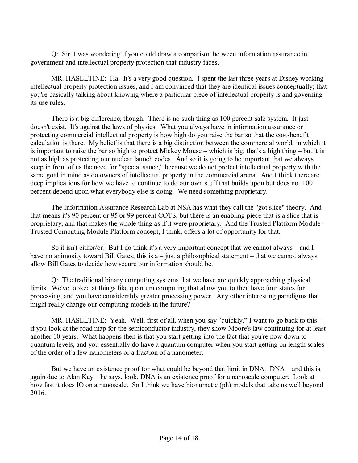Q: Sir, I was wondering if you could draw a comparison between information assurance in government and intellectual property protection that industry faces.

 MR. HASELTINE: Ha. It's a very good question. I spent the last three years at Disney working intellectual property protection issues, and I am convinced that they are identical issues conceptually; that you're basically talking about knowing where a particular piece of intellectual property is and governing its use rules.

 There is a big difference, though. There is no such thing as 100 percent safe system. It just doesn't exist. It's against the laws of physics. What you always have in information assurance or protecting commercial intellectual property is how high do you raise the bar so that the cost-benefit calculation is there. My belief is that there is a big distinction between the commercial world, in which it is important to raise the bar so high to protect Mickey Mouse – which is big, that's a high thing – but it is not as high as protecting our nuclear launch codes. And so it is going to be important that we always keep in front of us the need for "special sauce," because we do not protect intellectual property with the same goal in mind as do owners of intellectual property in the commercial arena. And I think there are deep implications for how we have to continue to do our own stuff that builds upon but does not 100 percent depend upon what everybody else is doing. We need something proprietary.

 The Information Assurance Research Lab at NSA has what they call the "got slice" theory. And that means it's 90 percent or 95 or 99 percent COTS, but there is an enabling piece that is a slice that is proprietary, and that makes the whole thing as if it were proprietary. And the Trusted Platform Module – Trusted Computing Module Platform concept, I think, offers a lot of opportunity for that.

So it isn't either/or. But I do think it's a very important concept that we cannot always – and I have no animosity toward Bill Gates; this is  $a$  – just a philosophical statement – that we cannot always allow Bill Gates to decide how secure our information should be.

 Q: The traditional binary computing systems that we have are quickly approaching physical limits. We've looked at things like quantum computing that allow you to then have four states for processing, and you have considerably greater processing power. Any other interesting paradigms that might really change our computing models in the future?

MR. HASELTINE: Yeah. Well, first of all, when you say "quickly," I want to go back to this  $$ if you look at the road map for the semiconductor industry, they show Moore's law continuing for at least another 10 years. What happens then is that you start getting into the fact that you're now down to quantum levels, and you essentially do have a quantum computer when you start getting on length scales of the order of a few nanometers or a fraction of a nanometer.

But we have an existence proof for what could be beyond that limit in  $DNA$ .  $DNA$  – and this is again due to Alan Kay – he says, look, DNA is an existence proof for a nanoscale computer. Look at how fast it does IO on a nanoscale. So I think we have bionumetic (ph) models that take us well beyond 2016.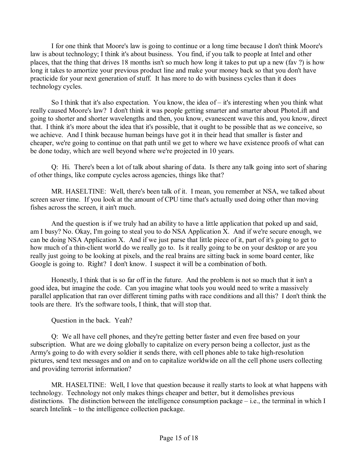I for one think that Moore's law is going to continue or a long time because I don't think Moore's law is about technology; I think it's about business. You find, if you talk to people at Intel and other places, that the thing that drives 18 months isn't so much how long it takes to put up a new (fav ?) is how long it takes to amortize your previous product line and make your money back so that you don't have practicide for your next generation of stuff. It has more to do with business cycles than it does technology cycles.

So I think that it's also expectation. You know, the idea of  $-$  it's interesting when you think what really caused Moore's law? I don't think it was people getting smarter and smarter about PhotoLift and going to shorter and shorter wavelengths and then, you know, evanescent wave this and, you know, direct that. I think it's more about the idea that it's possible, that it ought to be possible that as we conceive, so we achieve. And I think because human beings have got it in their head that smaller is faster and cheaper, we're going to continue on that path until we get to where we have existence proofs of what can be done today, which are well beyond where we're projected in 10 years.

 Q: Hi. There's been a lot of talk about sharing of data. Is there any talk going into sort of sharing of other things, like compute cycles across agencies, things like that?

 MR. HASELTINE: Well, there's been talk of it. I mean, you remember at NSA, we talked about screen saver time. If you look at the amount of CPU time that's actually used doing other than moving fishes across the screen, it ain't much.

 And the question is if we truly had an ability to have a little application that poked up and said, am I busy? No. Okay, I'm going to steal you to do NSA Application X. And if we're secure enough, we can be doing NSA Application X. And if we just parse that little piece of it, part of it's going to get to how much of a thin-client world do we really go to. Is it really going to be on your desktop or are you really just going to be looking at pixels, and the real brains are sitting back in some board center, like Google is going to. Right? I don't know. I suspect it will be a combination of both.

 Honestly, I think that is so far off in the future. And the problem is not so much that it isn't a good idea, but imagine the code. Can you imagine what tools you would need to write a massively parallel application that ran over different timing paths with race conditions and all this? I don't think the tools are there. It's the software tools, I think, that will stop that.

Question in the back. Yeah?

 Q: We all have cell phones, and they're getting better faster and even free based on your subscription. What are we doing globally to capitalize on every person being a collector, just as the Army's going to do with every soldier it sends there, with cell phones able to take high-resolution pictures, send text messages and on and on to capitalize worldwide on all the cell phone users collecting and providing terrorist information?

 MR. HASELTINE: Well, I love that question because it really starts to look at what happens with technology. Technology not only makes things cheaper and better, but it demolishes previous distinctions. The distinction between the intelligence consumption package  $-$  i.e., the terminal in which I search Intelink  $-$  to the intelligence collection package.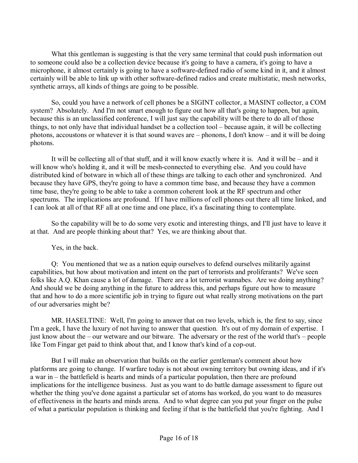What this gentleman is suggesting is that the very same terminal that could push information out to someone could also be a collection device because it's going to have a camera, it's going to have a microphone, it almost certainly is going to have a software-defined radio of some kind in it, and it almost certainly will be able to link up with other software-defined radios and create multistatic, mesh networks, synthetic arrays, all kinds of things are going to be possible.

 So, could you have a network of cell phones be a SIGINT collector, a MASINT collector, a COM system? Absolutely. And I'm not smart enough to figure out how all that's going to happen, but again, because this is an unclassified conference, I will just say the capability will be there to do all of those things, to not only have that individual handset be a collection tool  $-$  because again, it will be collecting photons, accoustons or whatever it is that sound waves are  $-$  phonons, I don't know  $-$  and it will be doing photons.

It will be collecting all of that stuff, and it will know exactly where it is. And it will be  $-$  and it will know who's holding it, and it will be mesh-connected to everything else. And you could have distributed kind of botware in which all of these things are talking to each other and synchronized. And because they have GPS, they're going to have a common time base, and because they have a common time base, they're going to be able to take a common coherent look at the RF spectrum and other spectrums. The implications are profound. If I have millions of cell phones out there all time linked, and I can look at all of that RF all at one time and one place, it's a fascinating thing to contemplate.

 So the capability will be to do some very exotic and interesting things, and I'll just have to leave it at that. And are people thinking about that? Yes, we are thinking about that.

Yes, in the back.

 Q: You mentioned that we as a nation equip ourselves to defend ourselves militarily against capabilities, but how about motivation and intent on the part of terrorists and proliferants? We've seen folks like A.Q. Khan cause a lot of damage. There are a lot terrorist wannabes. Are we doing anything? And should we be doing anything in the future to address this, and perhaps figure out how to measure that and how to do a more scientific job in trying to figure out what really strong motivations on the part of our adversaries might be?

 MR. HASELTINE: Well, I'm going to answer that on two levels, which is, the first to say, since I'm a geek, I have the luxury of not having to answer that question. It's out of my domain of expertise. I just know about the  $-$  our wetware and our bitware. The adversary or the rest of the world that's  $-$  people like Tom Fingar get paid to think about that, and I know that's kind of a cop-out.

 But I will make an observation that builds on the earlier gentleman's comment about how platforms are going to change. If warfare today is not about owning territory but owning ideas, and if it's a war in  $-$  the battlefield is hearts and minds of a particular population, then there are profound implications for the intelligence business. Just as you want to do battle damage assessment to figure out whether the thing you've done against a particular set of atoms has worked, do you want to do measures of effectiveness in the hearts and minds arena. And to what degree can you put your finger on the pulse of what a particular population is thinking and feeling if that is the battlefield that you're fighting. And I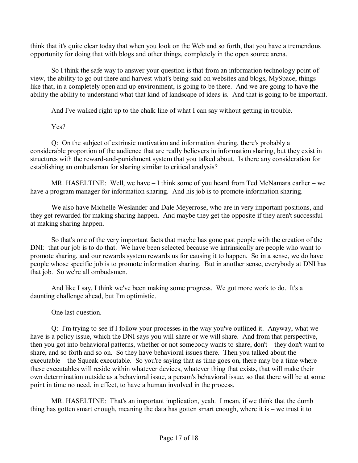think that it's quite clear today that when you look on the Web and so forth, that you have a tremendous opportunity for doing that with blogs and other things, completely in the open source arena.

 So I think the safe way to answer your question is that from an information technology point of view, the ability to go out there and harvest what's being said on websites and blogs, MySpace, things like that, in a completely open and up environment, is going to be there. And we are going to have the ability the ability to understand what that kind of landscape of ideas is. And that is going to be important.

And I've walked right up to the chalk line of what I can say without getting in trouble.

Yes?

 Q: On the subject of extrinsic motivation and information sharing, there's probably a considerable proportion of the audience that are really believers in information sharing, but they exist in structures with the reward-and-punishment system that you talked about. Is there any consideration for establishing an ombudsman for sharing similar to critical analysis?

MR. HASELTINE: Well, we have  $-I$  think some of you heard from Ted McNamara earlier  $-$  we have a program manager for information sharing. And his job is to promote information sharing.

 We also have Michelle Weslander and Dale Meyerrose, who are in very important positions, and they get rewarded for making sharing happen. And maybe they get the opposite if they aren't successful at making sharing happen.

 So that's one of the very important facts that maybe has gone past people with the creation of the DNI: that our job is to do that. We have been selected because we intrinsically are people who want to promote sharing, and our rewards system rewards us for causing it to happen. So in a sense, we do have people whose specific job is to promote information sharing. But in another sense, everybody at DNI has that job. So we're all ombudsmen.

 And like I say, I think we've been making some progress. We got more work to do. It's a daunting challenge ahead, but I'm optimistic.

One last question.

 Q: I'm trying to see if I follow your processes in the way you've outlined it. Anyway, what we have is a policy issue, which the DNI says you will share or we will share. And from that perspective, then you got into behavioral patterns, whether or not somebody wants to share, don't  $-$  they don't want to share, and so forth and so on. So they have behavioral issues there. Then you talked about the executable  $-$  the Squeak executable. So you're saying that as time goes on, there may be a time where these executables will reside within whatever devices, whatever thing that exists, that will make their own determination outside as a behavioral issue, a person's behavioral issue, so that there will be at some point in time no need, in effect, to have a human involved in the process.

 MR. HASELTINE: That's an important implication, yeah. I mean, if we think that the dumb thing has gotten smart enough, meaning the data has gotten smart enough, where it is  $-$  we trust it to